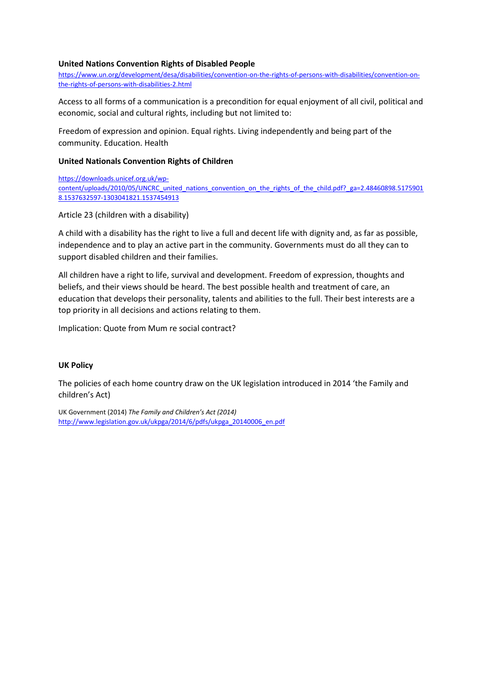#### **United Nations Convention Rights of Disabled People**

[https://www.un.org/development/desa/disabilities/convention-on-the-rights-of-persons-with-disabilities/convention-on](https://www.un.org/development/desa/disabilities/convention-on-the-rights-of-persons-with-disabilities/convention-on-the-rights-of-persons-with-disabilities-2.html)[the-rights-of-persons-with-disabilities-2.html](https://www.un.org/development/desa/disabilities/convention-on-the-rights-of-persons-with-disabilities/convention-on-the-rights-of-persons-with-disabilities-2.html)

Access to all forms of a communication is a precondition for equal enjoyment of all civil, political and economic, social and cultural rights, including but not limited to:

Freedom of expression and opinion. Equal rights. Living independently and being part of the community. Education. Health

#### **United Nationals Convention Rights of Children**

[https://downloads.unicef.org.uk/wp](https://downloads.unicef.org.uk/wp-content/uploads/2010/05/UNCRC_united_nations_convention_on_the_rights_of_the_child.pdf?_ga=2.48460898.51759018.1537632597-1303041821.1537454913)content/uploads/2010/05/UNCRC united nations convention on the rights of the child.pdf? ga=2.48460898.5175901 [8.1537632597-1303041821.1537454913](https://downloads.unicef.org.uk/wp-content/uploads/2010/05/UNCRC_united_nations_convention_on_the_rights_of_the_child.pdf?_ga=2.48460898.51759018.1537632597-1303041821.1537454913)

Article 23 (children with a disability)

A child with a disability has the right to live a full and decent life with dignity and, as far as possible, independence and to play an active part in the community. Governments must do all they can to support disabled children and their families.

All children have a right to life, survival and development. Freedom of expression, thoughts and beliefs, and their views should be heard. The best possible health and treatment of care, an education that develops their personality, talents and abilities to the full. Their best interests are a top priority in all decisions and actions relating to them.

Implication: Quote from Mum re social contract?

# **UK Policy**

The policies of each home country draw on the UK legislation introduced in 2014 'the Family and children's Act)

UK Government (2014) *The Family and Children's Act (2014)* [http://www.legislation.gov.uk/ukpga/2014/6/pdfs/ukpga\\_20140006\\_en.pdf](http://www.legislation.gov.uk/ukpga/2014/6/pdfs/ukpga_20140006_en.pdf)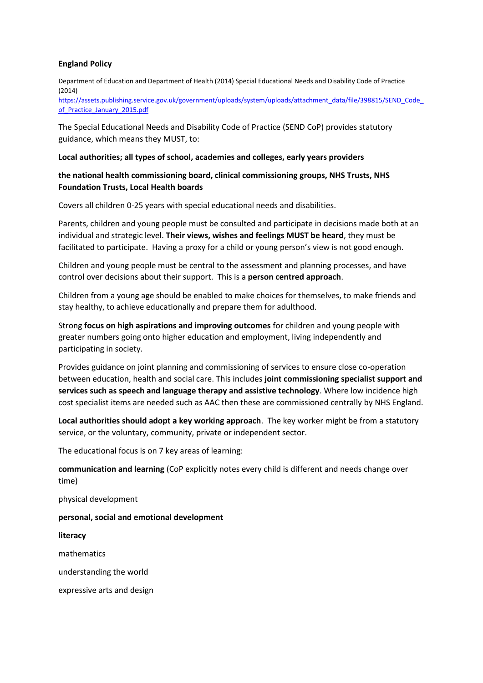# **England Policy**

Department of Education and Department of Health (2014) Special Educational Needs and Disability Code of Practice (2014)

[https://assets.publishing.service.gov.uk/government/uploads/system/uploads/attachment\\_data/file/398815/SEND\\_Code\\_](https://assets.publishing.service.gov.uk/government/uploads/system/uploads/attachment_data/file/398815/SEND_Code_of_Practice_January_2015.pdf) [of\\_Practice\\_January\\_2015.pdf](https://assets.publishing.service.gov.uk/government/uploads/system/uploads/attachment_data/file/398815/SEND_Code_of_Practice_January_2015.pdf)

The Special Educational Needs and Disability Code of Practice (SEND CoP) provides statutory guidance, which means they MUST, to:

#### **Local authorities; all types of school, academies and colleges, early years providers**

# **the national health commissioning board, clinical commissioning groups, NHS Trusts, NHS Foundation Trusts, Local Health boards**

Covers all children 0-25 years with special educational needs and disabilities.

Parents, children and young people must be consulted and participate in decisions made both at an individual and strategic level. **Their views, wishes and feelings MUST be heard**, they must be facilitated to participate. Having a proxy for a child or young person's view is not good enough.

Children and young people must be central to the assessment and planning processes, and have control over decisions about their support. This is a **person centred approach**.

Children from a young age should be enabled to make choices for themselves, to make friends and stay healthy, to achieve educationally and prepare them for adulthood.

Strong **focus on high aspirations and improving outcomes** for children and young people with greater numbers going onto higher education and employment, living independently and participating in society.

Provides guidance on joint planning and commissioning of services to ensure close co-operation between education, health and social care. This includes **joint commissioning specialist support and services such as speech and language therapy and assistive technology**. Where low incidence high cost specialist items are needed such as AAC then these are commissioned centrally by NHS England.

**Local authorities should adopt a key working approach**. The key worker might be from a statutory service, or the voluntary, community, private or independent sector.

The educational focus is on 7 key areas of learning:

**communication and learning** (CoP explicitly notes every child is different and needs change over time)

physical development

**personal, social and emotional development**

**literacy**

mathematics

understanding the world

expressive arts and design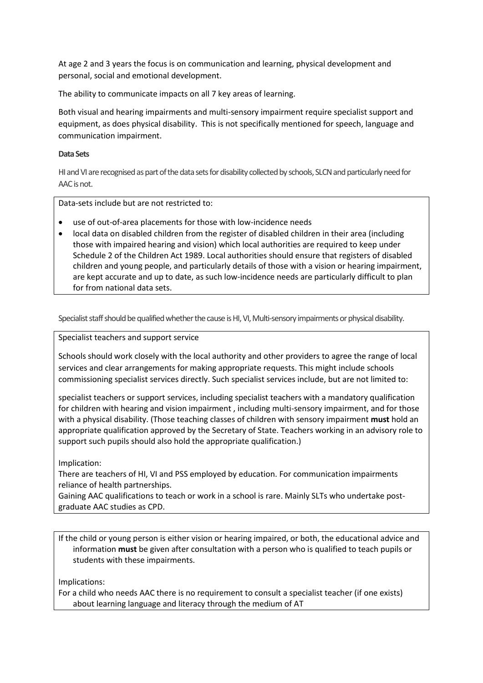At age 2 and 3 years the focus is on communication and learning, physical development and personal, social and emotional development.

The ability to communicate impacts on all 7 key areas of learning.

Both visual and hearing impairments and multi-sensory impairment require specialist support and equipment, as does physical disability. This is not specifically mentioned for speech, language and communication impairment.

# **Data Sets**

HI and VI are recognised as part of the data sets for disability collected by schools, SLCN and particularly need for AAC is not.

Data-sets include but are not restricted to:

- use of out-of-area placements for those with low-incidence needs
- local data on disabled children from the register of disabled children in their area (including those with impaired hearing and vision) which local authorities are required to keep under Schedule 2 of the Children Act 1989. Local authorities should ensure that registers of disabled children and young people, and particularly details of those with a vision or hearing impairment, are kept accurate and up to date, as such low-incidence needs are particularly difficult to plan for from national data sets.

Specialist staff should be qualified whether the cause is HI, VI, Multi-sensory impairments or physical disability.

Specialist teachers and support service

Schools should work closely with the local authority and other providers to agree the range of local services and clear arrangements for making appropriate requests. This might include schools commissioning specialist services directly. Such specialist services include, but are not limited to:

specialist teachers or support services, including specialist teachers with a mandatory qualification for children with hearing and vision impairment , including multi-sensory impairment, and for those with a physical disability. (Those teaching classes of children with sensory impairment **must** hold an appropriate qualification approved by the Secretary of State. Teachers working in an advisory role to support such pupils should also hold the appropriate qualification.)

# Implication:

There are teachers of HI, VI and PSS employed by education. For communication impairments reliance of health partnerships.

Gaining AAC qualifications to teach or work in a school is rare. Mainly SLTs who undertake postgraduate AAC studies as CPD.

If the child or young person is either vision or hearing impaired, or both, the educational advice and information **must** be given after consultation with a person who is qualified to teach pupils or students with these impairments.

Implications:

For a child who needs AAC there is no requirement to consult a specialist teacher (if one exists) about learning language and literacy through the medium of AT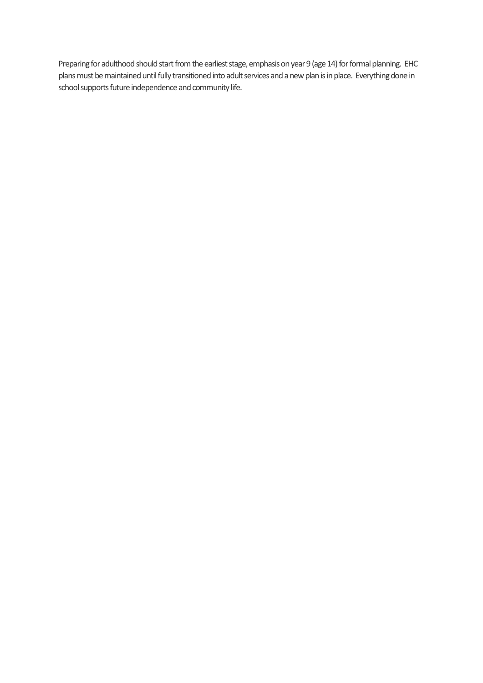Preparing for adulthood should start from the earliest stage, emphasis on year 9 (age 14) for formal planning. EHC plans must be maintained until fully transitioned into adult services and a new plan is in place. Everything done in school supports future independence and community life.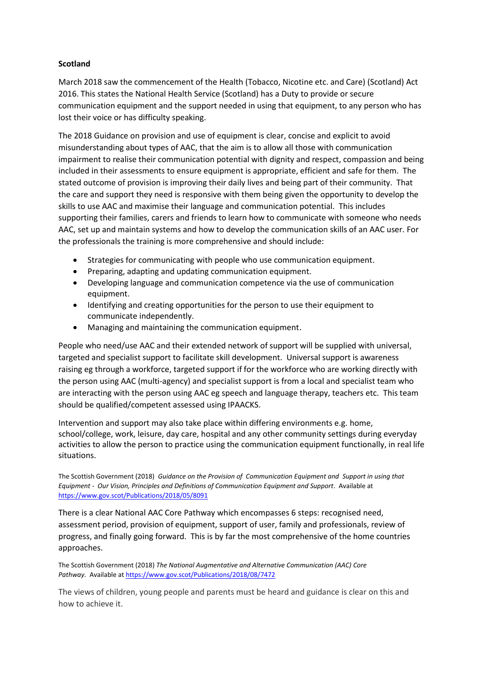# **Scotland**

March 2018 saw the commencement of the Health (Tobacco, Nicotine etc. and Care) (Scotland) Act 2016. This states the National Health Service (Scotland) has a Duty to provide or secure communication equipment and the support needed in using that equipment, to any person who has lost their voice or has difficulty speaking.

The 2018 Guidance on provision and use of equipment is clear, concise and explicit to avoid misunderstanding about types of AAC, that the aim is to allow all those with communication impairment to realise their communication potential with dignity and respect, compassion and being included in their assessments to ensure equipment is appropriate, efficient and safe for them. The stated outcome of provision is improving their daily lives and being part of their community. That the care and support they need is responsive with them being given the opportunity to develop the skills to use AAC and maximise their language and communication potential. This includes supporting their families, carers and friends to learn how to communicate with someone who needs AAC, set up and maintain systems and how to develop the communication skills of an AAC user. For the professionals the training is more comprehensive and should include:

- Strategies for communicating with people who use communication equipment.
- Preparing, adapting and updating communication equipment.
- Developing language and communication competence via the use of communication equipment.
- Identifying and creating opportunities for the person to use their equipment to communicate independently.
- Managing and maintaining the communication equipment.

People who need/use AAC and their extended network of support will be supplied with universal, targeted and specialist support to facilitate skill development. Universal support is awareness raising eg through a workforce, targeted support if for the workforce who are working directly with the person using AAC (multi-agency) and specialist support is from a local and specialist team who are interacting with the person using AAC eg speech and language therapy, teachers etc. This team should be qualified/competent assessed using IPAACKS.

Intervention and support may also take place within differing environments e.g. home, school/college, work, leisure, day care, hospital and any other community settings during everyday activities to allow the person to practice using the communication equipment functionally, in real life situations.

The Scottish Government (2018) *Guidance on the Provision of Communication Equipment and Support in using that Equipment - Our Vision, Principles and Definitions of Communication Equipment and Support*. Available at <https://www.gov.scot/Publications/2018/05/8091>

There is a clear National AAC Core Pathway which encompasses 6 steps: recognised need, assessment period, provision of equipment, support of user, family and professionals, review of progress, and finally going forward. This is by far the most comprehensive of the home countries approaches.

The Scottish Government (2018) *The National Augmentative and Alternative Communication (AAC) Core Pathway.* Available a[t https://www.gov.scot/Publications/2018/08/7472](https://www.gov.scot/Publications/2018/08/7472)

The views of children, young people and parents must be heard and guidance is clear on this and how to achieve it.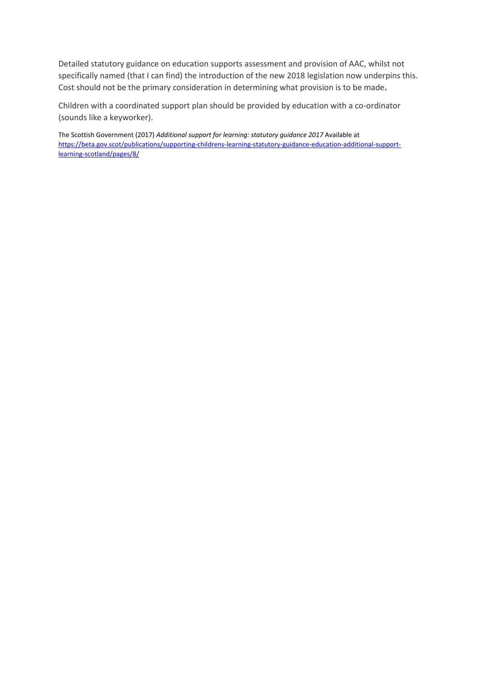Detailed statutory guidance on education supports assessment and provision of AAC, whilst not specifically named (that I can find) the introduction of the new 2018 legislation now underpins this. Cost should not be the primary consideration in determining what provision is to be made**.** 

Children with a coordinated support plan should be provided by education with a co-ordinator (sounds like a keyworker).

The Scottish Government (2017) *Additional support for learning: statutory guidance 2017* Available at [https://beta.gov.scot/publications/supporting-childrens-learning-statutory-guidance-education-additional-support](https://beta.gov.scot/publications/supporting-childrens-learning-statutory-guidance-education-additional-support-learning-scotland/pages/8/)[learning-scotland/pages/8/](https://beta.gov.scot/publications/supporting-childrens-learning-statutory-guidance-education-additional-support-learning-scotland/pages/8/)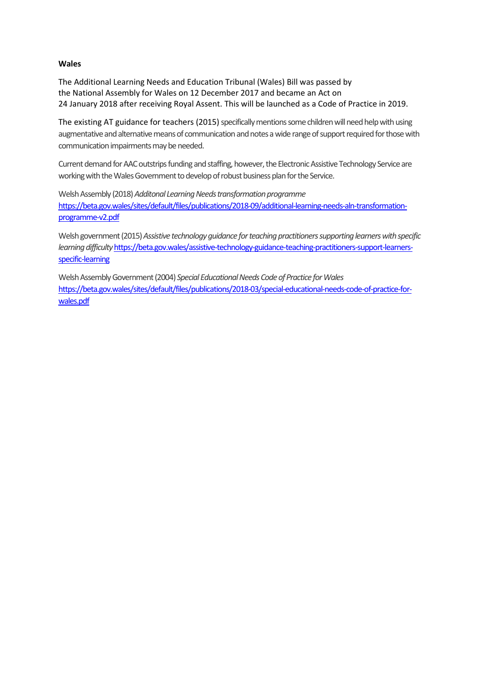# **Wales**

The Additional Learning Needs and Education Tribunal (Wales) Bill was passed by the National Assembly for Wales on 12 December 2017 and became an Act on 24 January 2018 after receiving Royal Assent. This will be launched as a Code of Practice in 2019.

The existing AT guidance for teachers (2015) specifically mentions some children will need help with using augmentative and alternative means of communication and notes a wide range of support required for those with communication impairments may be needed.

Current demand for AAC outstrips funding and staffing, however, the Electronic Assistive Technology Service are working with the Wales Government to develop of robust business plan for the Service.

Welsh Assembly (2018) *Additonal Learning Needs transformation programme*  [https://beta.gov.wales/sites/default/files/publications/2018-09/additional-learning-needs-aln-transformation](https://beta.gov.wales/sites/default/files/publications/2018-09/additional-learning-needs-aln-transformation-programme-v2.pdf)[programme-v2.pdf](https://beta.gov.wales/sites/default/files/publications/2018-09/additional-learning-needs-aln-transformation-programme-v2.pdf)

Welsh government (2015) *Assistive technology guidance for teaching practitioners supporting learners with specific learning difficulty* [https://beta.gov.wales/assistive-technology-guidance-teaching-practitioners-support-learners](https://beta.gov.wales/assistive-technology-guidance-teaching-practitioners-support-learners-specific-learning)[specific-learning](https://beta.gov.wales/assistive-technology-guidance-teaching-practitioners-support-learners-specific-learning)

Welsh Assembly Government (2004) *Special Educational Needs Code of Practice for Wales* [https://beta.gov.wales/sites/default/files/publications/2018-03/special-educational-needs-code-of-practice-for](https://beta.gov.wales/sites/default/files/publications/2018-03/special-educational-needs-code-of-practice-for-wales.pdf)[wales.pdf](https://beta.gov.wales/sites/default/files/publications/2018-03/special-educational-needs-code-of-practice-for-wales.pdf)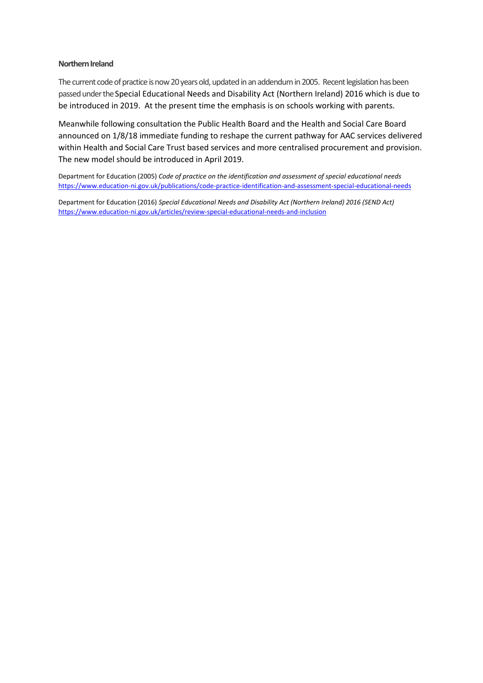#### **Northern Ireland**

The current code of practice is now 20 years old, updated in an addendum in 2005. Recent legislation has been passed under the Special Educational Needs and Disability Act (Northern Ireland) 2016 which is due to be introduced in 2019. At the present time the emphasis is on schools working with parents.

Meanwhile following consultation the Public Health Board and the Health and Social Care Board announced on 1/8/18 immediate funding to reshape the current pathway for AAC services delivered within Health and Social Care Trust based services and more centralised procurement and provision. The new model should be introduced in April 2019.

Department for Education (2005) *Code of practice on the identification and assessment of special educational needs*  <https://www.education-ni.gov.uk/publications/code-practice-identification-and-assessment-special-educational-needs>

Department for Education (2016) *Special Educational Needs and Disability Act (Northern Ireland) 2016 (SEND Act)* <https://www.education-ni.gov.uk/articles/review-special-educational-needs-and-inclusion>